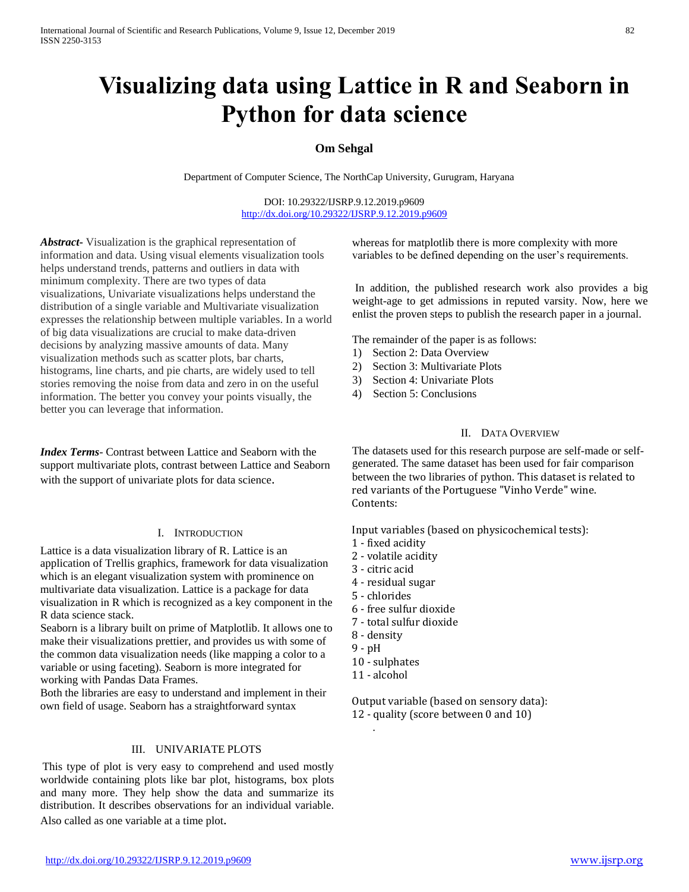# **Visualizing data using Lattice in R and Seaborn in Python for data science**

# **Om Sehgal**

Department of Computer Science, The NorthCap University, Gurugram, Haryana

DOI: 10.29322/IJSRP.9.12.2019.p9609 <http://dx.doi.org/10.29322/IJSRP.9.12.2019.p9609>

*Abstract***-** Visualization is the graphical representation of information and data. Using visual elements visualization tools helps understand trends, patterns and outliers in data with minimum complexity. There are two types of data visualizations, Univariate visualizations helps understand the distribution of a single variable and Multivariate visualization expresses the relationship between multiple variables. In a world of big data visualizations are crucial to make data-driven decisions by analyzing massive amounts of data. Many visualization methods such as scatter plots, bar charts, histograms, line charts, and pie charts, are widely used to tell stories removing the noise from data and zero in on the useful information. The better you convey your points visually, the better you can leverage that information.

*Index Terms*- Contrast between Lattice and Seaborn with the support multivariate plots, contrast between Lattice and Seaborn with the support of univariate plots for data science.

## I. INTRODUCTION

Lattice is a data visualization library of R. Lattice is an application of Trellis graphics, framework for data visualization which is an elegant visualization system with prominence on multivariate data visualization. Lattice is a package for data visualization in R which is recognized as a key component in the R data science stack.

Seaborn is a library built on prime of Matplotlib. It allows one to make their visualizations prettier, and provides us with some of the common data visualization needs (like mapping a color to a variable or using faceting). Seaborn is more integrated for working with Pandas Data Frames.

Both the libraries are easy to understand and implement in their own field of usage. Seaborn has a straightforward syntax

## III. UNIVARIATE PLOTS

This type of plot is very easy to comprehend and used mostly worldwide containing plots like bar plot, histograms, box plots and many more. They help show the data and summarize its distribution. It describes observations for an individual variable. Also called as one variable at a time plot.

whereas for matplotlib there is more complexity with more variables to be defined depending on the user's requirements.

In addition, the published research work also provides a big weight-age to get admissions in reputed varsity. Now, here we enlist the proven steps to publish the research paper in a journal.

The remainder of the paper is as follows:

- 1) Section 2: Data Overview
- 2) Section 3: Multivariate Plots
- 3) Section 4: Univariate Plots
- 4) Section 5: Conclusions

# II. DATA OVERVIEW

The datasets used for this research purpose are self-made or selfgenerated. The same dataset has been used for fair comparison between the two libraries of python. This dataset is related to red variants of the Portuguese "Vinho Verde" wine. Contents:

Input variables (based on physicochemical tests):

- 1 fixed acidity
- 2 volatile acidity
- 3 citric acid
- 4 residual sugar
- 5 chlorides
- 6 free sulfur dioxide
- 7 total sulfur dioxide
- 8 density
- 9 pH
- 10 sulphates
- 11 alcohol

.

Output variable (based on sensory data): 12 - quality (score between 0 and 10)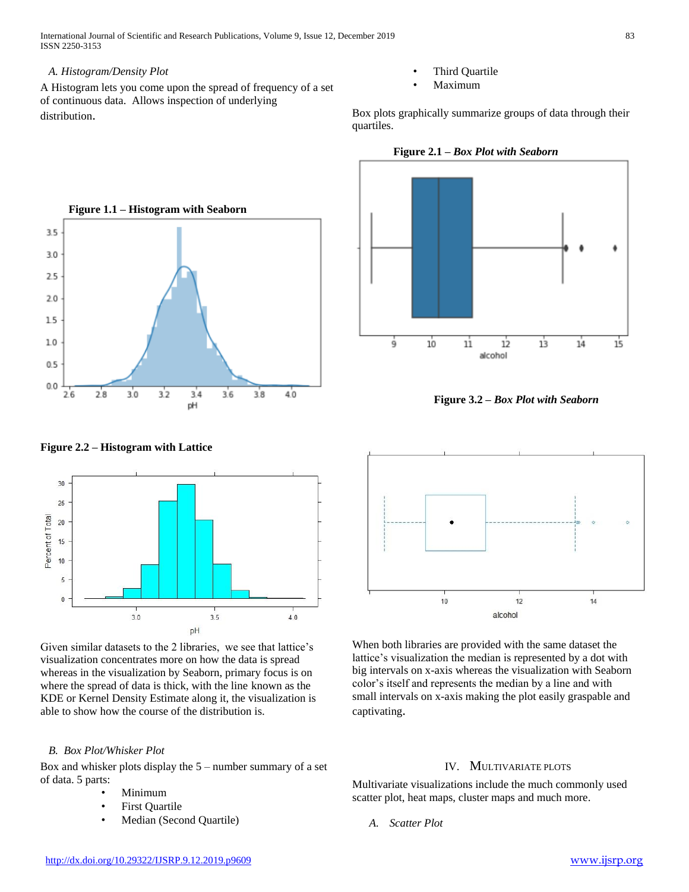International Journal of Scientific and Research Publications, Volume 9, Issue 12, December 2019 83 ISSN 2250-3153

## *A. Histogram/Density Plot*

 $3.5$ 

3.0 2.5  $20$ 1.5

 $1.0$ 

 $0.5$ 

 $0.0$ 

A Histogram lets you come upon the spread of frequency of a set of continuous data. Allows inspection of underlying distribution.

- Third Quartile
- Maximum

Box plots graphically summarize groups of data through their quartiles.

 **Figure 1.1 – Histogram with Seaborn**  $3.2$  $26$  $2.8$  $3.0$  $3.6$  $3.4$  $3.8$  $40$ pH

**Figure 2.1 –** *Box Plot with Seaborn* 



**Figure 3.2 –** *Box Plot with Seaborn*



**Figure 2.2 – Histogram with Lattice** 

Given similar datasets to the 2 libraries, we see that lattice's visualization concentrates more on how the data is spread whereas in the visualization by Seaborn, primary focus is on where the spread of data is thick, with the line known as the KDE or Kernel Density Estimate along it, the visualization is able to show how the course of the distribution is.

# *B. Box Plot/Whisker Plot*

Box and whisker plots display the 5 – number summary of a set of data. 5 parts:

- Minimum
- **First Quartile**
- Median (Second Quartile)



When both libraries are provided with the same dataset the lattice's visualization the median is represented by a dot with big intervals on x-axis whereas the visualization with Seaborn color's itself and represents the median by a line and with small intervals on x-axis making the plot easily graspable and captivating.

### IV. MULTIVARIATE PLOTS

Multivariate visualizations include the much commonly used scatter plot, heat maps, cluster maps and much more.

*A. Scatter Plot*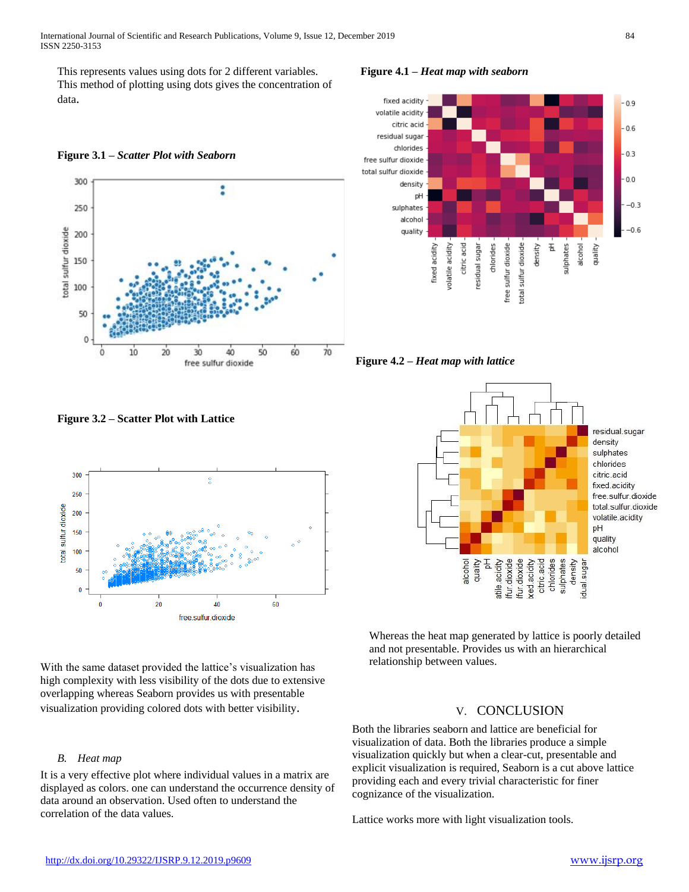International Journal of Scientific and Research Publications, Volume 9, Issue 12, December 2019 84 ISSN 2250-3153

This represents values using dots for 2 different variables. This method of plotting using dots gives the concentration of data.





**Figure 3.2 – Scatter Plot with Lattice**



With the same dataset provided the lattice's visualization has high complexity with less visibility of the dots due to extensive overlapping whereas Seaborn provides us with presentable visualization providing colored dots with better visibility.

## *B. Heat map*

It is a very effective plot where individual values in a matrix are displayed as colors. one can understand the occurrence density of data around an observation. Used often to understand the correlation of the data values.

**Figure 4.1 –** *Heat map with seaborn*



**Figure 4.2 –** *Heat map with lattice*



Whereas the heat map generated by lattice is poorly detailed and not presentable. Provides us with an hierarchical relationship between values.

# V. CONCLUSION

Both the libraries seaborn and lattice are beneficial for visualization of data. Both the libraries produce a simple visualization quickly but when a clear-cut, presentable and explicit visualization is required, Seaborn is a cut above lattice providing each and every trivial characteristic for finer cognizance of the visualization.

Lattice works more with light visualization tools.